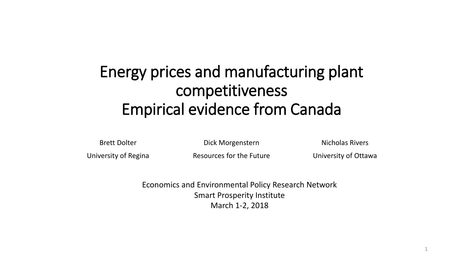#### Energy prices and manufacturing plant competitiveness Empirical evidence from Canada

Brett Dolter

Dick Morgenstern

Nicholas Rivers

University of Regina

Resources for the Future

University of Ottawa

1

Economics and Environmental Policy Research Network Smart Prosperity Institute March 1-2, 2018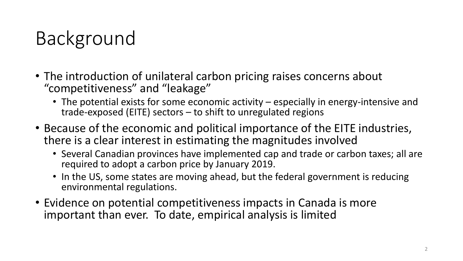# Background

- The introduction of unilateral carbon pricing raises concerns about "competitiveness" and "leakage"
	- The potential exists for some economic activity especially in energy-intensive and trade-exposed (EITE) sectors – to shift to unregulated regions
- Because of the economic and political importance of the EITE industries, there is a clear interest in estimating the magnitudes involved
	- Several Canadian provinces have implemented cap and trade or carbon taxes; all are required to adopt a carbon price by January 2019.
	- In the US, some states are moving ahead, but the federal government is reducing environmental regulations.
- Evidence on potential competitiveness impacts in Canada is more important than ever. To date, empirical analysis is limited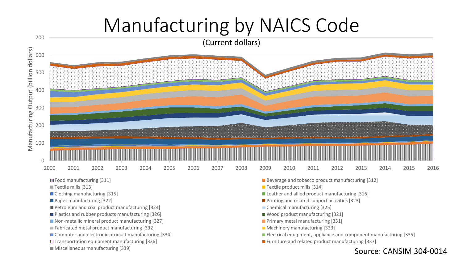## Manufacturing by NAICS Code



- 
- 
- **Petroleum and coal product manufacturing [324]** Chemical manufacturing [325]
- **Plastics and rubber products manufacturing [326]** Wood product manufacturing [321]
- Non-metallic mineral product manufacturing [327] **Primary metal manufacturing [331]** Primary metal manufacturing [331]
- **Fabricated metal product manufacturing [332]** Machinery manufacturing [333]
- 
- 
- 
- 
- Clothing manufacturing [315] Clothing manufacturing [316]
- **Paper manufacturing [322] Paper manufacturing [322] Printing and related support activities [323]** 
	-
	-
	-
	-
- Computer and electronic product manufacturing [334] **Electrical equipment, appliance and component manufacturing [335]**
- ETransportation equipment manufacturing [336] Furniture and related product manufacturing [337]

#### Miscellaneous manufacturing [339]  $\sim$  Source: CANSIM 304-0014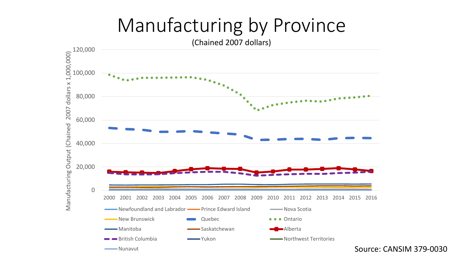## Manufacturing by Province

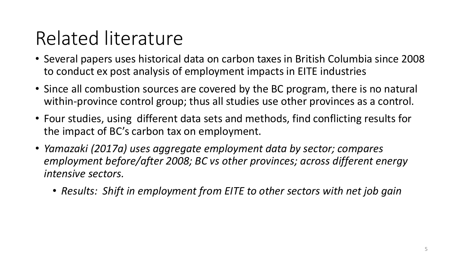## Related literature

- Several papers uses historical data on carbon taxes in British Columbia since 2008 to conduct ex post analysis of employment impacts in EITE industries
- Since all combustion sources are covered by the BC program, there is no natural within-province control group; thus all studies use other provinces as a control.
- Four studies, using different data sets and methods, find conflicting results for the impact of BC's carbon tax on employment.
- *Yamazaki (2017a) uses aggregate employment data by sector; compares employment before/after 2008; BC vs other provinces; across different energy intensive sectors.*
	- *Results: Shift in employment from EITE to other sectors with net job gain*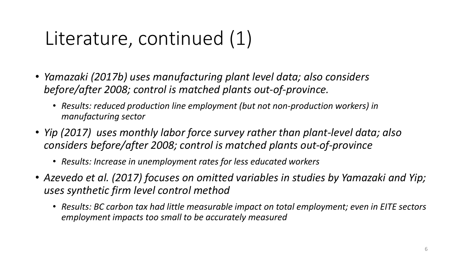## Literature, continued (1)

- *Yamazaki (2017b) uses manufacturing plant level data; also considers before/after 2008; control is matched plants out-of-province.*
	- *Results: reduced production line employment (but not non-production workers) in manufacturing sector*
- *Yip (2017) uses monthly labor force survey rather than plant-level data; also considers before/after 2008; control is matched plants out-of-province*
	- *Results: Increase in unemployment rates for less educated workers*
- *Azevedo et al. (2017) focuses on omitted variables in studies by Yamazaki and Yip; uses synthetic firm level control method*
	- *Results: BC carbon tax had little measurable impact on total employment; even in EITE sectors employment impacts too small to be accurately measured*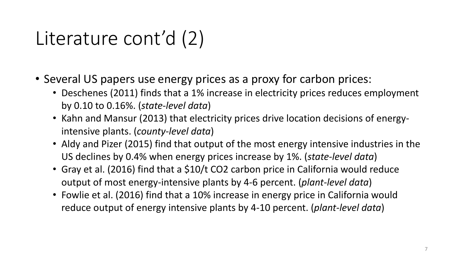## Literature cont'd (2)

- Several US papers use energy prices as a proxy for carbon prices:
	- Deschenes (2011) finds that a 1% increase in electricity prices reduces employment by 0.10 to 0.16%. (*state-level data*)
	- Kahn and Mansur (2013) that electricity prices drive location decisions of energyintensive plants. (*county-level data*)
	- Aldy and Pizer (2015) find that output of the most energy intensive industries in the US declines by 0.4% when energy prices increase by 1%. (*state-level data*)
	- Gray et al. (2016) find that a \$10/t CO2 carbon price in California would reduce output of most energy-intensive plants by 4-6 percent. (*plant-level data*)
	- Fowlie et al. (2016) find that a 10% increase in energy price in California would reduce output of energy intensive plants by 4-10 percent. (*plant-level data*)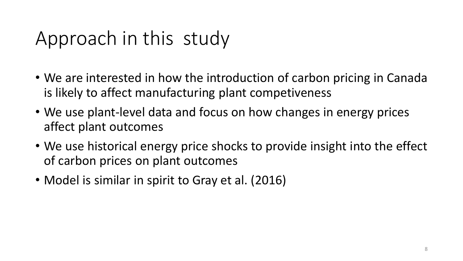## Approach in this study

- We are interested in how the introduction of carbon pricing in Canada is likely to affect manufacturing plant competiveness
- We use plant-level data and focus on how changes in energy prices affect plant outcomes
- We use historical energy price shocks to provide insight into the effect of carbon prices on plant outcomes
- Model is similar in spirit to Gray et al. (2016)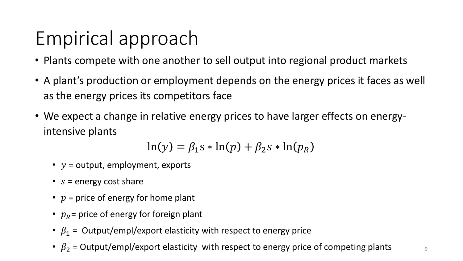## Empirical approach

- Plants compete with one another to sell output into regional product markets
- A plant's production or employment depends on the energy prices it faces as well as the energy prices its competitors face
- We expect a change in relative energy prices to have larger effects on energyintensive plants

$$
\ln(y) = \beta_1 s * \ln(p) + \beta_2 s * \ln(p_R)
$$

- $y =$  output, employment, exports
- $s =$  energy cost share
- $p =$  price of energy for home plant
- $p_R$  = price of energy for foreign plant
- $\beta_1$  = Output/empl/export elasticity with respect to energy price
- $\beta_2$  = Output/empl/export elasticity with respect to energy price of competing plants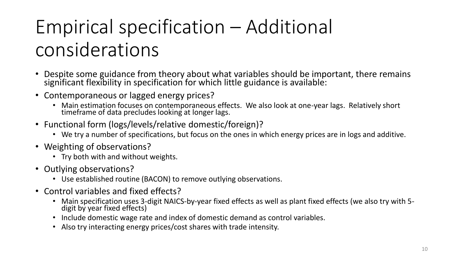# Empirical specification – Additional considerations

- Despite some guidance from theory about what variables should be important, there remains significant flexibility in specification for which little guidance is available:
- Contemporaneous or lagged energy prices?
	- Main estimation focuses on contemporaneous effects. We also look at one-year lags. Relatively short timeframe of data precludes looking at longer lags.
- Functional form (logs/levels/relative domestic/foreign)?
	- We try a number of specifications, but focus on the ones in which energy prices are in logs and additive.
- Weighting of observations?
	- Try both with and without weights.
- Outlying observations?
	- Use established routine (BACON) to remove outlying observations.
- Control variables and fixed effects?
	- Main specification uses 3-digit NAICS-by-year fixed effects as well as plant fixed effects (we also try with 5 digit by year fixed effects)
	- Include domestic wage rate and index of domestic demand as control variables.
	- Also try interacting energy prices/cost shares with trade intensity.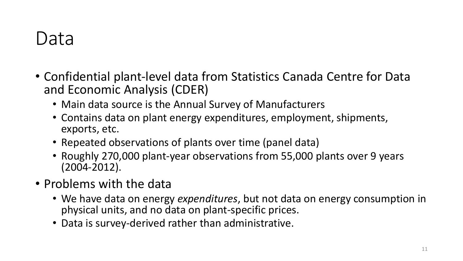### Data

- Confidential plant-level data from Statistics Canada Centre for Data and Economic Analysis (CDER)
	- Main data source is the Annual Survey of Manufacturers
	- Contains data on plant energy expenditures, employment, shipments, exports, etc.
	- Repeated observations of plants over time (panel data)
	- Roughly 270,000 plant-year observations from 55,000 plants over 9 years (2004-2012).
- Problems with the data
	- We have data on energy *expenditures*, but not data on energy consumption in physical units, and no data on plant-specific prices.
	- Data is survey-derived rather than administrative.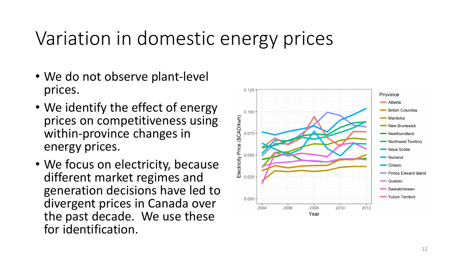### Variation in domestic energy prices

- We do not observe plant-level prices.
- We identify the effect of energy prices on competitiveness using within-province changes in energy prices.
- We focus on electricity, because different market regimes and generation decisions have led to divergent prices in Canada over the past decade. We use these for identification.

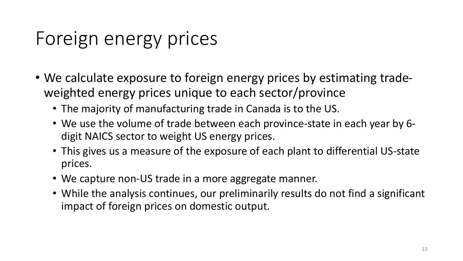## Foreign energy prices

- We calculate exposure to foreign energy prices by estimating tradeweighted energy prices unique to each sector/province
	- The majority of manufacturing trade in Canada is to the US.
	- We use the volume of trade between each province-state in each year by 6 digit NAICS sector to weight US energy prices.
	- This gives us a measure of the exposure of each plant to differential US-state prices.
	- We capture non-US trade in a more aggregate manner.
	- While the analysis continues, our preliminarily results do not find a significant impact of foreign prices on domestic output.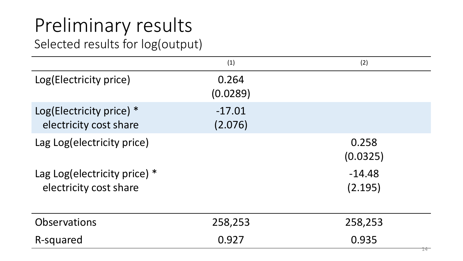# Preliminary results

Selected results for log(output)

|                                                        | (1)                 | (2)                 |
|--------------------------------------------------------|---------------------|---------------------|
| Log(Electricity price)                                 | 0.264<br>(0.0289)   |                     |
| Log(Electricity price) *<br>electricity cost share     | $-17.01$<br>(2.076) |                     |
| Lag Log(electricity price)                             |                     | 0.258<br>(0.0325)   |
| Lag Log(electricity price) *<br>electricity cost share |                     | $-14.48$<br>(2.195) |
| <b>Observations</b>                                    | 258,253             | 258,253             |
| R-squared                                              | 0.927               | 0.935               |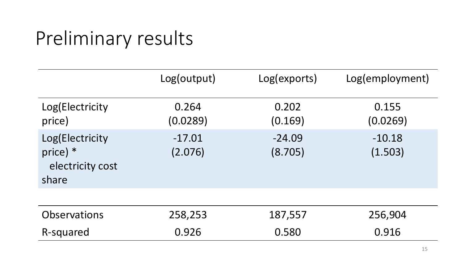## Preliminary results

|                                                            | Log(output)         | Log(exports)        | Log(employment)     |
|------------------------------------------------------------|---------------------|---------------------|---------------------|
| Log(Electricity<br>price)                                  | 0.264<br>(0.0289)   | 0.202<br>(0.169)    | 0.155<br>(0.0269)   |
| Log(Electricity<br>price) $*$<br>electricity cost<br>share | $-17.01$<br>(2.076) | $-24.09$<br>(8.705) | $-10.18$<br>(1.503) |
|                                                            |                     |                     |                     |
| <b>Observations</b>                                        | 258,253             | 187,557             | 256,904             |
| R-squared                                                  | 0.926               | 0.580               | 0.916               |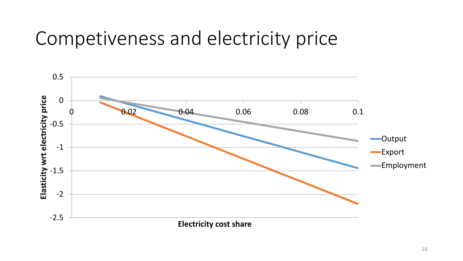#### Competiveness and electricity price

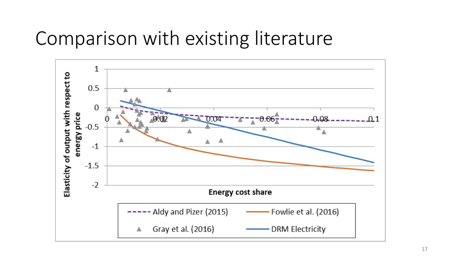### Comparison with existing literature

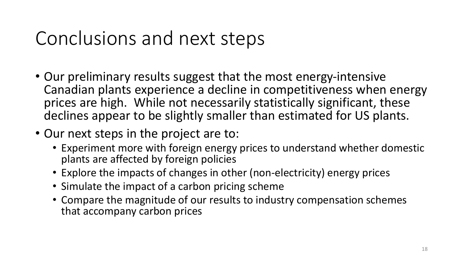## Conclusions and next steps

- Our preliminary results suggest that the most energy-intensive Canadian plants experience a decline in competitiveness when energy prices are high. While not necessarily statistically significant, these declines appear to be slightly smaller than estimated for US plants.
- Our next steps in the project are to:
	- Experiment more with foreign energy prices to understand whether domestic plants are affected by foreign policies
	- Explore the impacts of changes in other (non-electricity) energy prices
	- Simulate the impact of a carbon pricing scheme
	- Compare the magnitude of our results to industry compensation schemes that accompany carbon prices